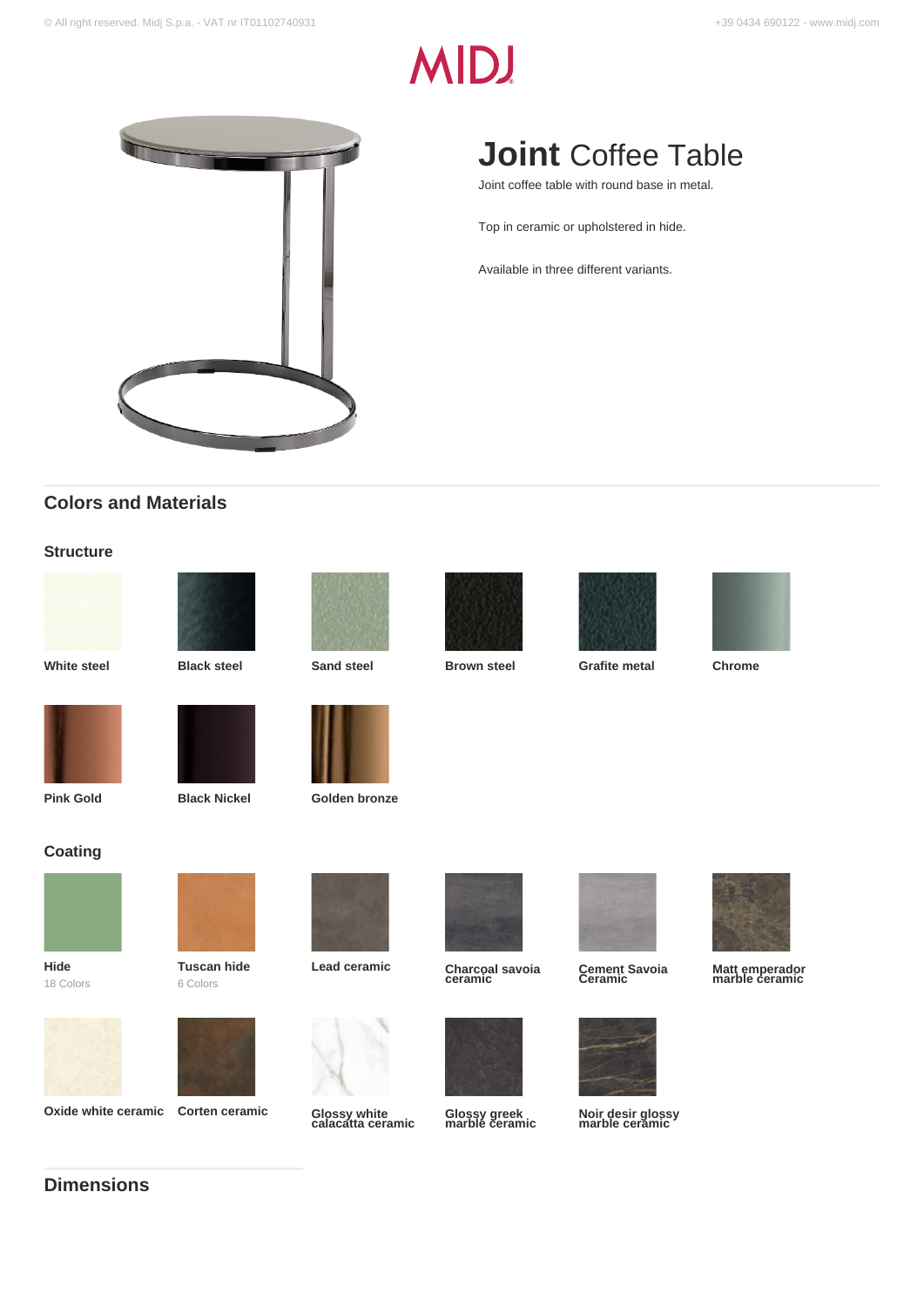# **MIDJ**



# **Colors and Materials**

### **Structure**











**Joint** Coffee Table

Joint coffee table with round base in metal.

Top in ceramic or upholstered in hide.

Available in three different variants.

**White steel Black steel Sand steel Brown steel Grafite metal Chrome**





**Coating**

**Hide** 18 Colors

6 Colors

**Oxide white ceramic Corten ceramic** 



**Pink Gold Black Nickel Golden bronze** 





**Glossy greek marble ceramic**



**Cement Savoia Ceramic**



**Noir desir glossy marble ceramic**



**Matt emperador marble ceramic**



**Tuscan hide**





**calacatta ceramic**

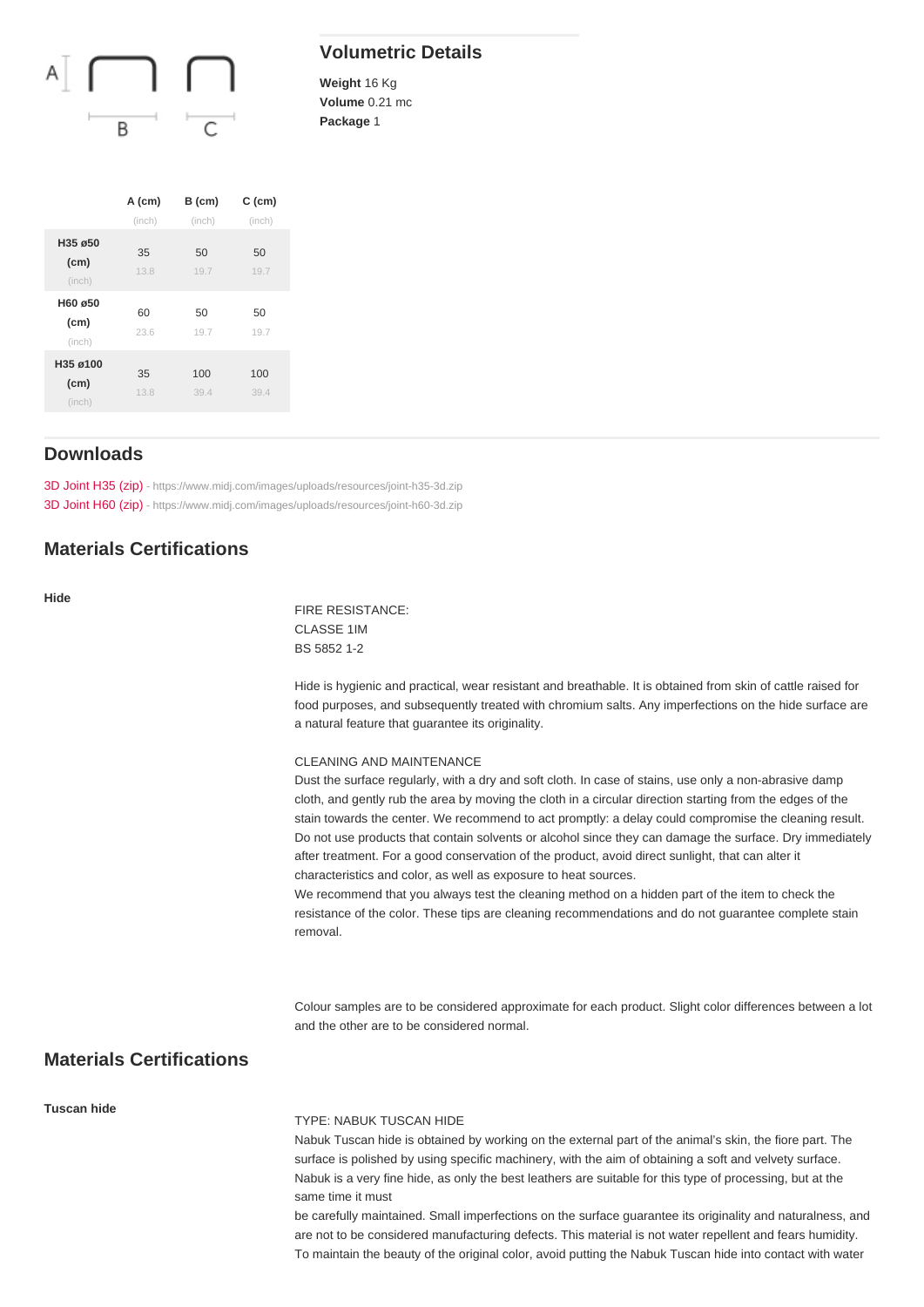## Volumetric Details

Weight 16 Kg Volume 0.21 mc Package 1

|                                         | A (cm)<br>(inch) | $B$ (cm)<br>(inch) | $C$ (cm)<br>(inch) |
|-----------------------------------------|------------------|--------------------|--------------------|
| H35 ø50<br>(cm)<br>(inch)               | 35<br>13.8       | 50<br>19.7         | 50<br>19.7         |
| H60 ø50<br>(cm)<br>(inch)               | 60<br>23.6       | 50<br>19.7         | 50<br>19.7         |
| $H35 \varnothing 100$<br>(cm)<br>(inch) | 35<br>13.8       | 100<br>39.4        | 100<br>39.4        |

## Downloads

[3D Joint H35 \(zip\)](https://www.midj.com/images/uploads/resources/joint-h35-3d.zip) [- https://www.midj.com/images/uploads/resources/joint-h35-3d.zip](https://www.midj.com/images/uploads/resources/joint-h35-3d.zip) [3D Joint H60 \(zip\)](https://www.midj.com/images/uploads/resources/joint-h60-3d.zip) [- https://www.midj.com/images/uploads/resources/joint-h60-3d.zip](https://www.midj.com/images/uploads/resources/joint-h60-3d.zip)

## Materials Certifications

Hide

FIRE RESISTANCE: CLASSE 1IM BS 5852 1-2

Hide is hygienic and practical, wear resistant and breathable. It is obtained from skin of cattle raised for food purposes, and subsequently treated with chromium salts. Any imperfections on the hide surface are a natural feature that guarantee its originality.

#### CLEANING AND MAINTENANCE

Dust the surface regularly, with a dry and soft cloth. In case of stains, use only a non-abrasive damp cloth, and gently rub the area by moving the cloth in a circular direction starting from the edges of the stain towards the center. We recommend to act promptly: a delay could compromise the cleaning result. Do not use products that contain solvents or alcohol since they can damage the surface. Dry immediately after treatment. For a good conservation of the product, avoid direct sunlight, that can alter it characteristics and color, as well as exposure to heat sources.

We recommend that you always test the cleaning method on a hidden part of the item to check the resistance of the color. These tips are cleaning recommendations and do not guarantee complete stain removal.

Colour samples are to be considered approximate for each product. Slight color differences between a lot and the other are to be considered normal.

## Materials Certifications

#### Tuscan hide

#### TYPE: NABUK TUSCAN HIDE

Nabuk Tuscan hide is obtained by working on the external part of the animal's skin, the fiore part. The surface is polished by using specific machinery, with the aim of obtaining a soft and velvety surface. Nabuk is a very fine hide, as only the best leathers are suitable for this type of processing, but at the same time it must

be carefully maintained. Small imperfections on the surface guarantee its originality and naturalness, and are not to be considered manufacturing defects. This material is not water repellent and fears humidity. To maintain the beauty of the original color, avoid putting the Nabuk Tuscan hide into contact with water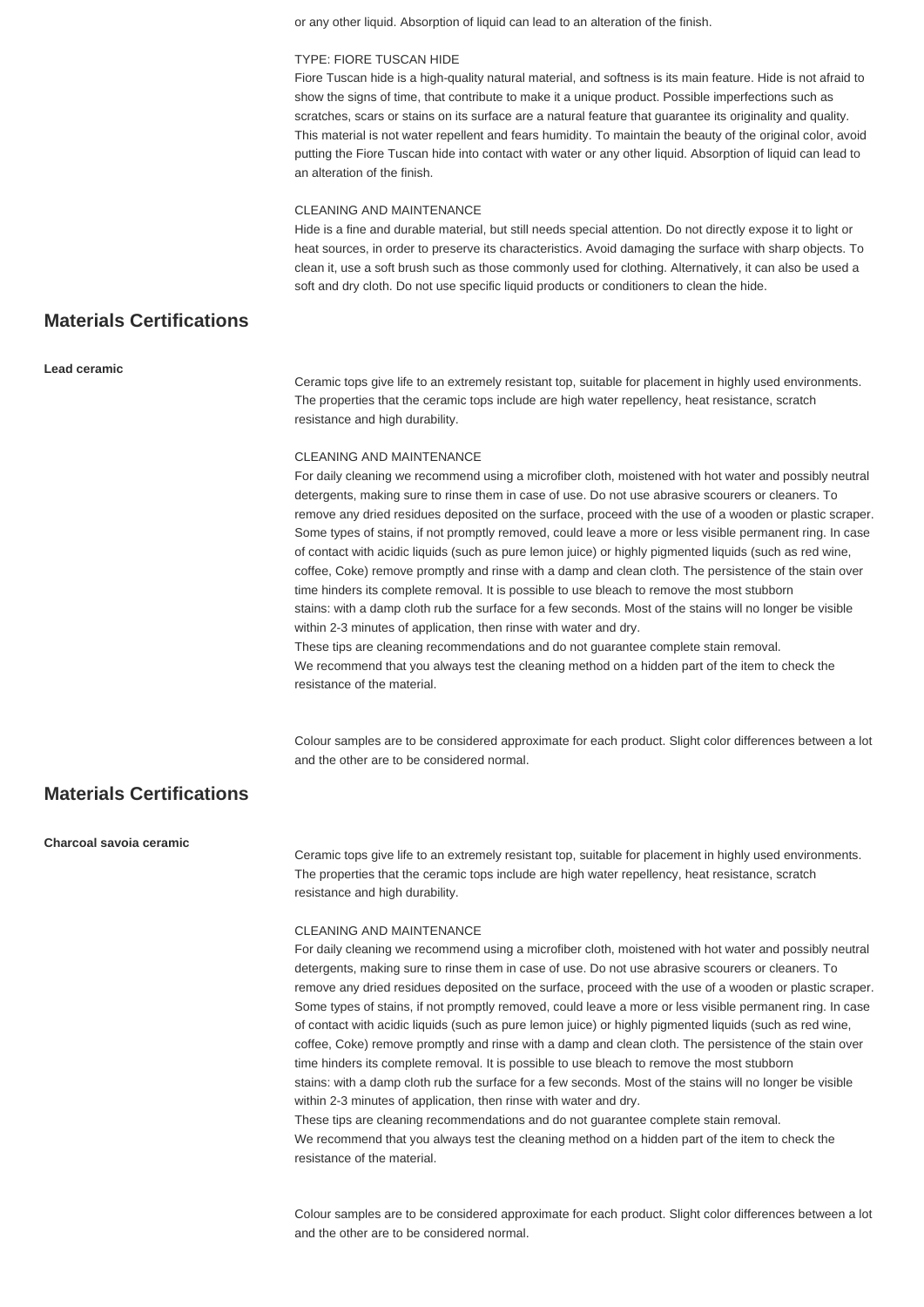or any other liquid. Absorption of liquid can lead to an alteration of the finish.

#### TYPE: FIORE TUSCAN HIDE

Fiore Tuscan hide is a high-quality natural material, and softness is its main feature. Hide is not afraid to show the signs of time, that contribute to make it a unique product. Possible imperfections such as scratches, scars or stains on its surface are a natural feature that guarantee its originality and quality. This material is not water repellent and fears humidity. To maintain the beauty of the original color, avoid putting the Fiore Tuscan hide into contact with water or any other liquid. Absorption of liquid can lead to an alteration of the finish.

#### CLEANING AND MAINTENANCE

Hide is a fine and durable material, but still needs special attention. Do not directly expose it to light or heat sources, in order to preserve its characteristics. Avoid damaging the surface with sharp objects. To clean it, use a soft brush such as those commonly used for clothing. Alternatively, it can also be used a soft and dry cloth. Do not use specific liquid products or conditioners to clean the hide.

## **Materials Certifications**

**Lead ceramic**

Ceramic tops give life to an extremely resistant top, suitable for placement in highly used environments. The properties that the ceramic tops include are high water repellency, heat resistance, scratch resistance and high durability.

#### CLEANING AND MAINTENANCE

For daily cleaning we recommend using a microfiber cloth, moistened with hot water and possibly neutral detergents, making sure to rinse them in case of use. Do not use abrasive scourers or cleaners. To remove any dried residues deposited on the surface, proceed with the use of a wooden or plastic scraper. Some types of stains, if not promptly removed, could leave a more or less visible permanent ring. In case of contact with acidic liquids (such as pure lemon juice) or highly pigmented liquids (such as red wine, coffee, Coke) remove promptly and rinse with a damp and clean cloth. The persistence of the stain over time hinders its complete removal. It is possible to use bleach to remove the most stubborn stains: with a damp cloth rub the surface for a few seconds. Most of the stains will no longer be visible within 2-3 minutes of application, then rinse with water and dry. These tips are cleaning recommendations and do not guarantee complete stain removal.

We recommend that you always test the cleaning method on a hidden part of the item to check the resistance of the material.

Colour samples are to be considered approximate for each product. Slight color differences between a lot and the other are to be considered normal.

## **Materials Certifications**

**Charcoal savoia ceramic**

Ceramic tops give life to an extremely resistant top, suitable for placement in highly used environments. The properties that the ceramic tops include are high water repellency, heat resistance, scratch resistance and high durability.

#### CLEANING AND MAINTENANCE

resistance of the material.

For daily cleaning we recommend using a microfiber cloth, moistened with hot water and possibly neutral detergents, making sure to rinse them in case of use. Do not use abrasive scourers or cleaners. To remove any dried residues deposited on the surface, proceed with the use of a wooden or plastic scraper. Some types of stains, if not promptly removed, could leave a more or less visible permanent ring. In case of contact with acidic liquids (such as pure lemon juice) or highly pigmented liquids (such as red wine, coffee, Coke) remove promptly and rinse with a damp and clean cloth. The persistence of the stain over time hinders its complete removal. It is possible to use bleach to remove the most stubborn stains: with a damp cloth rub the surface for a few seconds. Most of the stains will no longer be visible within 2-3 minutes of application, then rinse with water and dry. These tips are cleaning recommendations and do not guarantee complete stain removal. We recommend that you always test the cleaning method on a hidden part of the item to check the

Colour samples are to be considered approximate for each product. Slight color differences between a lot and the other are to be considered normal.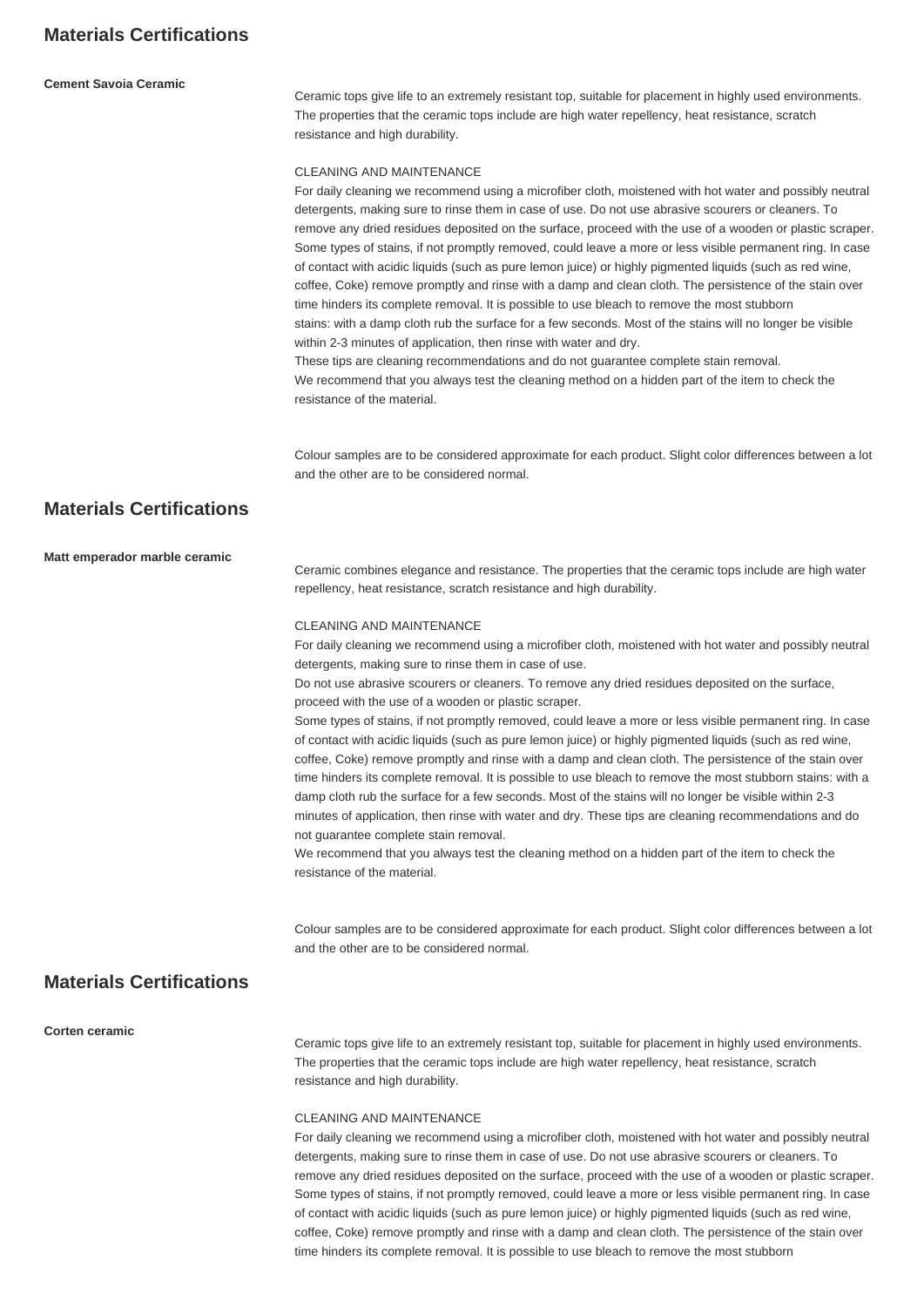## **Materials Certifications**

#### **Cement Savoia Ceramic**

Ceramic tops give life to an extremely resistant top, suitable for placement in highly used environments. The properties that the ceramic tops include are high water repellency, heat resistance, scratch resistance and high durability.

#### CLEANING AND MAINTENANCE

For daily cleaning we recommend using a microfiber cloth, moistened with hot water and possibly neutral detergents, making sure to rinse them in case of use. Do not use abrasive scourers or cleaners. To remove any dried residues deposited on the surface, proceed with the use of a wooden or plastic scraper. Some types of stains, if not promptly removed, could leave a more or less visible permanent ring. In case of contact with acidic liquids (such as pure lemon juice) or highly pigmented liquids (such as red wine, coffee, Coke) remove promptly and rinse with a damp and clean cloth. The persistence of the stain over time hinders its complete removal. It is possible to use bleach to remove the most stubborn stains: with a damp cloth rub the surface for a few seconds. Most of the stains will no longer be visible within 2-3 minutes of application, then rinse with water and dry. These tips are cleaning recommendations and do not guarantee complete stain removal.

We recommend that you always test the cleaning method on a hidden part of the item to check the resistance of the material.

Colour samples are to be considered approximate for each product. Slight color differences between a lot and the other are to be considered normal.

## **Materials Certifications**

## **Matt emperador marble ceramic** Ceramic combines elegance and resistance. The properties that the ceramic tops include are high water repellency, heat resistance, scratch resistance and high durability. CLEANING AND MAINTENANCE For daily cleaning we recommend using a microfiber cloth, moistened with hot water and possibly neutral detergents, making sure to rinse them in case of use. Do not use abrasive scourers or cleaners. To remove any dried residues deposited on the surface, proceed with the use of a wooden or plastic scraper. Some types of stains, if not promptly removed, could leave a more or less visible permanent ring. In case of contact with acidic liquids (such as pure lemon juice) or highly pigmented liquids (such as red wine, coffee, Coke) remove promptly and rinse with a damp and clean cloth. The persistence of the stain over time hinders its complete removal. It is possible to use bleach to remove the most stubborn stains: with a damp cloth rub the surface for a few seconds. Most of the stains will no longer be visible within 2-3 minutes of application, then rinse with water and dry. These tips are cleaning recommendations and do not guarantee complete stain removal. We recommend that you always test the cleaning method on a hidden part of the item to check the resistance of the material. Colour samples are to be considered approximate for each product. Slight color differences between a lot and the other are to be considered normal. **Materials Certifications Corten ceramic** Ceramic tops give life to an extremely resistant top, suitable for placement in highly used environments. The properties that the ceramic tops include are high water repellency, heat resistance, scratch

#### CLEANING AND MAINTENANCE

resistance and high durability.

For daily cleaning we recommend using a microfiber cloth, moistened with hot water and possibly neutral detergents, making sure to rinse them in case of use. Do not use abrasive scourers or cleaners. To remove any dried residues deposited on the surface, proceed with the use of a wooden or plastic scraper. Some types of stains, if not promptly removed, could leave a more or less visible permanent ring. In case of contact with acidic liquids (such as pure lemon juice) or highly pigmented liquids (such as red wine, coffee, Coke) remove promptly and rinse with a damp and clean cloth. The persistence of the stain over time hinders its complete removal. It is possible to use bleach to remove the most stubborn